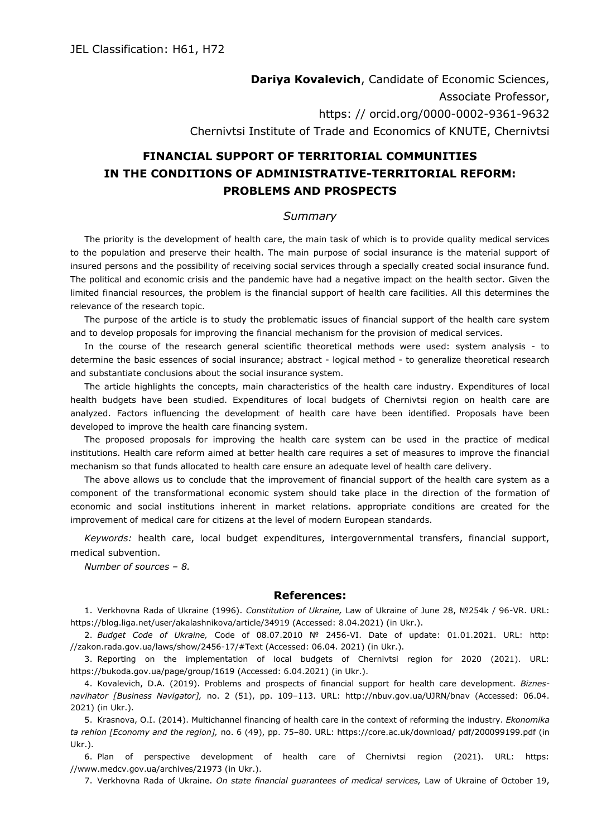## **Dariya Kovalevich**, Candidate of Economic Sciences, Associate Professor, https: // orcid.org/0000-0002-9361-9632 Chernivtsi Institute of Trade and Economics of KNUTE, Chernivtsi

## **FINANCIAL SUPPORT OF TERRITORIAL COMMUNITIES IN THE CONDITIONS OF ADMINISTRATIVE-TERRITORIAL REFORM: PROBLEMS AND PROSPECTS**

## *Summary*

The priority is the development of health care, the main task of which is to provide quality medical services to the population and preserve their health. The main purpose of social insurance is the material support of insured persons and the possibility of receiving social services through a specially created social insurance fund. The political and economic crisis and the pandemic have had a negative impact on the health sector. Given the limited financial resources, the problem is the financial support of health care facilities. All this determines the relevance of the research topic.

The purpose of the article is to study the problematic issues of financial support of the health care system and to develop proposals for improving the financial mechanism for the provision of medical services.

In the course of the research general scientific theoretical methods were used: system analysis - to determine the basic essences of social insurance; abstract - logical method - to generalize theoretical research and substantiate conclusions about the social insurance system.

The article highlights the concepts, main characteristics of the health care industry. Expenditures of local health budgets have been studied. Expenditures of local budgets of Chernivtsi region on health care are analyzed. Factors influencing the development of health care have been identified. Proposals have been developed to improve the health care financing system.

The proposed proposals for improving the health care system can be used in the practice of medical institutions. Health care reform aimed at better health care requires a set of measures to improve the financial mechanism so that funds allocated to health care ensure an adequate level of health care delivery.

The above allows us to conclude that the improvement of financial support of the health care system as a component of the transformational economic system should take place in the direction of the formation of economic and social institutions inherent in market relations. appropriate conditions are created for the improvement of medical care for citizens at the level of modern European standards.

*Keywords:* health care, local budget expenditures, intergovernmental transfers, financial support, medical subvention.

*Number of sources – 8.*

## **References:**

1. Verkhovna Rada of Ukraine (1996). *Constitution of Ukraine,* Law of Ukraine of June 28, №254k / 96-VR. URL: https://blog.liga.net/user/akalashnikova/article/34919 (Accessed: 8.04.2021) (in Ukr.).

2. *Budget Code of Ukraine,* Code of 08.07.2010 № 2456-VI. Date of update: 01.01.2021. URL: http: //zakon.rada.gov.ua/laws/show/2456-17/#Text (Accessed: 06.04. 2021) (in Ukr.).

3. Reporting on the implementation of local budgets of Chernivtsi region for 2020 (2021). URL: https://bukoda.gov.ua/page/group/1619 (Accessed: 6.04.2021) (in Ukr.).

4. Kovalevich, D.A. (2019). Problems and prospects of financial support for health care development. *Biznesnavihator [Business Navigator],* no. 2 (51), pp. 109–113. URL: http://nbuv.gov.ua/UJRN/bnav (Accessed: 06.04. 2021) (in Ukr.).

5. Krasnova, O.I. (2014). Multichannel financing of health care in the context of reforming the industry. *Ekonomika ta rehion [Economy and the region],* no. 6 (49), pp. 75–80. URL: https://core.ac.uk/download/ pdf/200099199.pdf (in Ukr.).

6. Plan of perspective development of health care of Chernivtsi region (2021). URL: https: //www.medcv.gov.ua/archives/21973 (in Ukr.).

7. Verkhovna Rada of Ukraine. *On state financial guarantees of medical services,* Law of Ukraine of October 19,